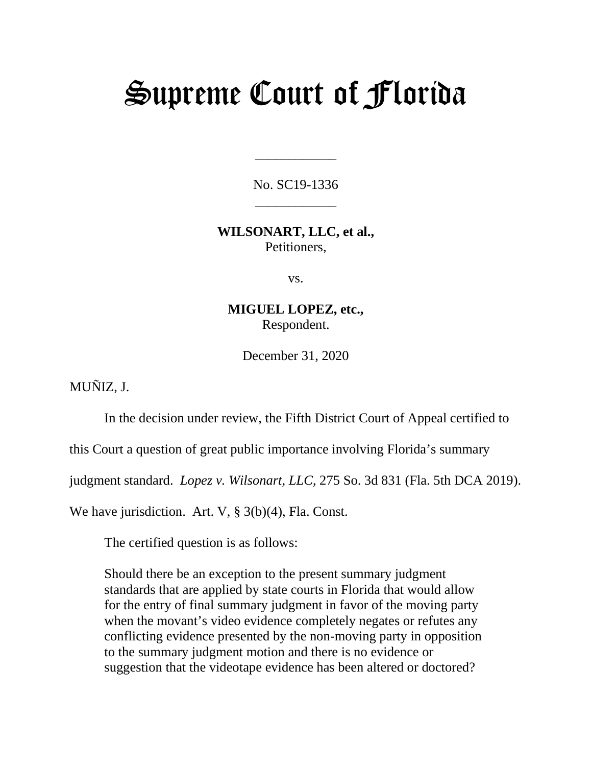## Supreme Court of Florida

No. SC19-1336 \_\_\_\_\_\_\_\_\_\_\_\_

\_\_\_\_\_\_\_\_\_\_\_\_

**WILSONART, LLC, et al.,** Petitioners,

vs.

**MIGUEL LOPEZ, etc.,** Respondent.

December 31, 2020

MUÑIZ, J.

In the decision under review, the Fifth District Court of Appeal certified to

this Court a question of great public importance involving Florida's summary

judgment standard. *Lopez v. Wilsonart, LLC*, 275 So. 3d 831 (Fla. 5th DCA 2019).

We have jurisdiction. Art. V, § 3(b)(4), Fla. Const.

The certified question is as follows:

Should there be an exception to the present summary judgment standards that are applied by state courts in Florida that would allow for the entry of final summary judgment in favor of the moving party when the movant's video evidence completely negates or refutes any conflicting evidence presented by the non-moving party in opposition to the summary judgment motion and there is no evidence or suggestion that the videotape evidence has been altered or doctored?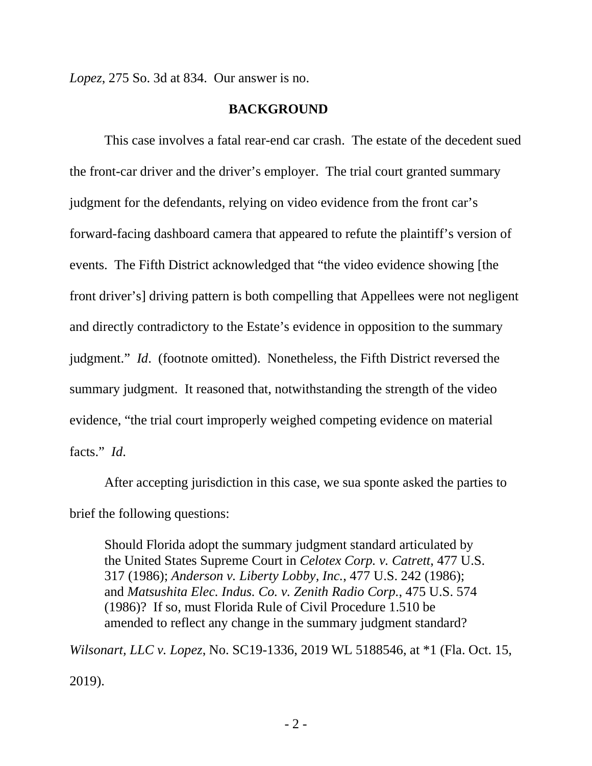*Lopez*, 275 So. 3d at 834. Our answer is no.

## **BACKGROUND**

This case involves a fatal rear-end car crash. The estate of the decedent sued the front-car driver and the driver's employer. The trial court granted summary judgment for the defendants, relying on video evidence from the front car's forward-facing dashboard camera that appeared to refute the plaintiff's version of events. The Fifth District acknowledged that "the video evidence showing [the front driver's] driving pattern is both compelling that Appellees were not negligent and directly contradictory to the Estate's evidence in opposition to the summary judgment." *Id*. (footnote omitted). Nonetheless, the Fifth District reversed the summary judgment. It reasoned that, notwithstanding the strength of the video evidence, "the trial court improperly weighed competing evidence on material facts." *Id*.

After accepting jurisdiction in this case, we sua sponte asked the parties to brief the following questions:

Should Florida adopt the summary judgment standard articulated by the United States Supreme Court in *Celotex Corp. v. Catrett*, 477 U.S. 317 (1986); *Anderson v. Liberty Lobby, Inc.*, 477 U.S. 242 (1986); and *Matsushita Elec. Indus. Co. v. Zenith Radio Corp.*, 475 U.S. 574 (1986)? If so, must Florida Rule of Civil Procedure 1.510 be amended to reflect any change in the summary judgment standard?

*Wilsonart, LLC v. Lopez*, No. SC19-1336, 2019 WL 5188546, at \*1 (Fla. Oct. 15, 2019).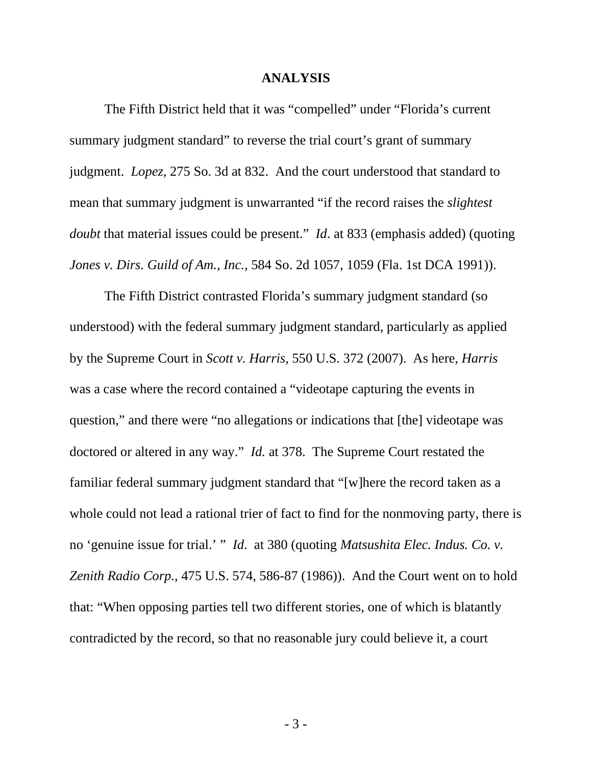## **ANALYSIS**

The Fifth District held that it was "compelled" under "Florida's current summary judgment standard" to reverse the trial court's grant of summary judgment. *Lopez*, 275 So. 3d at 832. And the court understood that standard to mean that summary judgment is unwarranted "if the record raises the *slightest doubt* that material issues could be present." *Id*. at 833 (emphasis added) (quoting *Jones v. Dirs. Guild of Am., Inc.*, 584 So. 2d 1057, 1059 (Fla. 1st DCA 1991)).

The Fifth District contrasted Florida's summary judgment standard (so understood) with the federal summary judgment standard, particularly as applied by the Supreme Court in *Scott v. Harris*, 550 U.S. 372 (2007). As here, *Harris* was a case where the record contained a "videotape capturing the events in question," and there were "no allegations or indications that [the] videotape was doctored or altered in any way." *Id.* at 378. The Supreme Court restated the familiar federal summary judgment standard that "[w]here the record taken as a whole could not lead a rational trier of fact to find for the nonmoving party, there is no 'genuine issue for trial.' " *Id*. at 380 (quoting *Matsushita Elec. Indus. Co. v. Zenith Radio Corp.*, 475 U.S. 574, 586-87 (1986)). And the Court went on to hold that: "When opposing parties tell two different stories, one of which is blatantly contradicted by the record, so that no reasonable jury could believe it, a court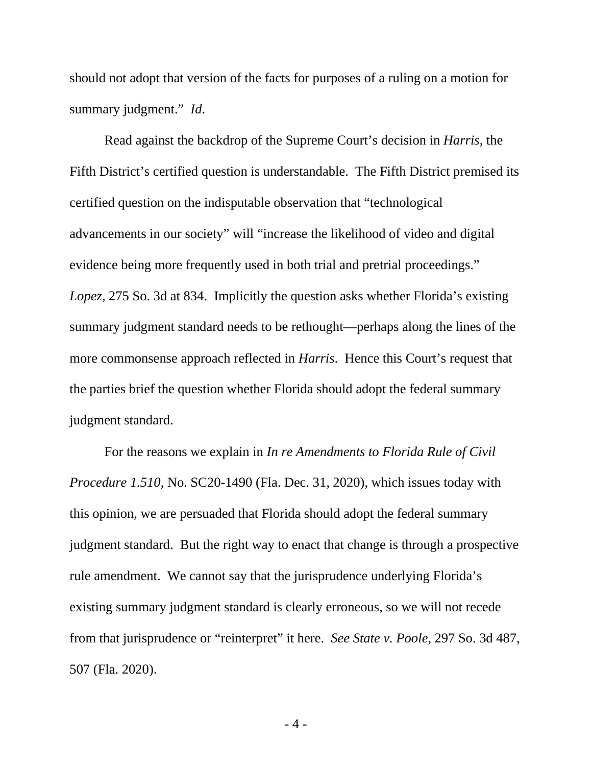should not adopt that version of the facts for purposes of a ruling on a motion for summary judgment." *Id*.

Read against the backdrop of the Supreme Court's decision in *Harris*, the Fifth District's certified question is understandable. The Fifth District premised its certified question on the indisputable observation that "technological advancements in our society" will "increase the likelihood of video and digital evidence being more frequently used in both trial and pretrial proceedings." *Lopez*, 275 So. 3d at 834. Implicitly the question asks whether Florida's existing summary judgment standard needs to be rethought—perhaps along the lines of the more commonsense approach reflected in *Harris*. Hence this Court's request that the parties brief the question whether Florida should adopt the federal summary judgment standard.

For the reasons we explain in *In re Amendments to Florida Rule of Civil Procedure 1.510*, No. SC20-1490 (Fla. Dec. 31, 2020), which issues today with this opinion, we are persuaded that Florida should adopt the federal summary judgment standard. But the right way to enact that change is through a prospective rule amendment. We cannot say that the jurisprudence underlying Florida's existing summary judgment standard is clearly erroneous, so we will not recede from that jurisprudence or "reinterpret" it here. *See State v. Poole,* 297 So. 3d 487, 507 (Fla. 2020).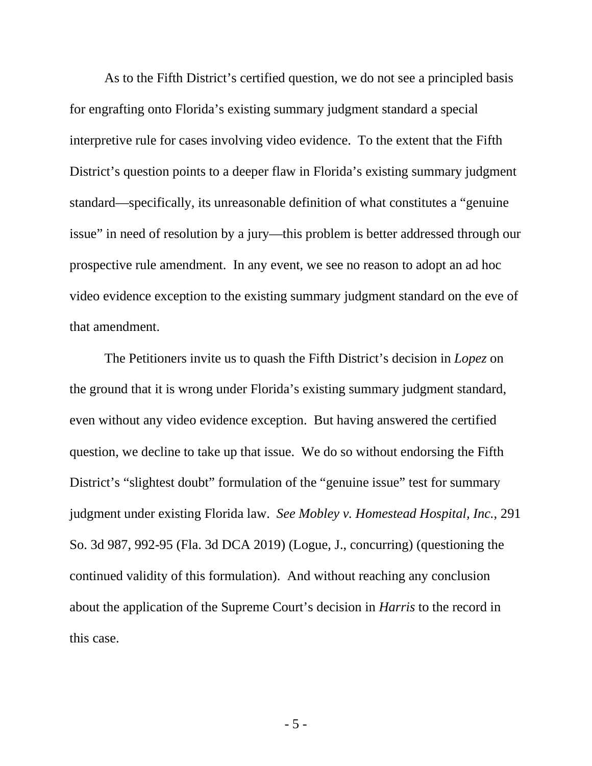As to the Fifth District's certified question, we do not see a principled basis for engrafting onto Florida's existing summary judgment standard a special interpretive rule for cases involving video evidence. To the extent that the Fifth District's question points to a deeper flaw in Florida's existing summary judgment standard—specifically, its unreasonable definition of what constitutes a "genuine issue" in need of resolution by a jury—this problem is better addressed through our prospective rule amendment. In any event, we see no reason to adopt an ad hoc video evidence exception to the existing summary judgment standard on the eve of that amendment.

The Petitioners invite us to quash the Fifth District's decision in *Lopez* on the ground that it is wrong under Florida's existing summary judgment standard, even without any video evidence exception. But having answered the certified question, we decline to take up that issue. We do so without endorsing the Fifth District's "slightest doubt" formulation of the "genuine issue" test for summary judgment under existing Florida law. *See Mobley v. Homestead Hospital, Inc.*, 291 So. 3d 987, 992-95 (Fla. 3d DCA 2019) (Logue, J., concurring) (questioning the continued validity of this formulation). And without reaching any conclusion about the application of the Supreme Court's decision in *Harris* to the record in this case.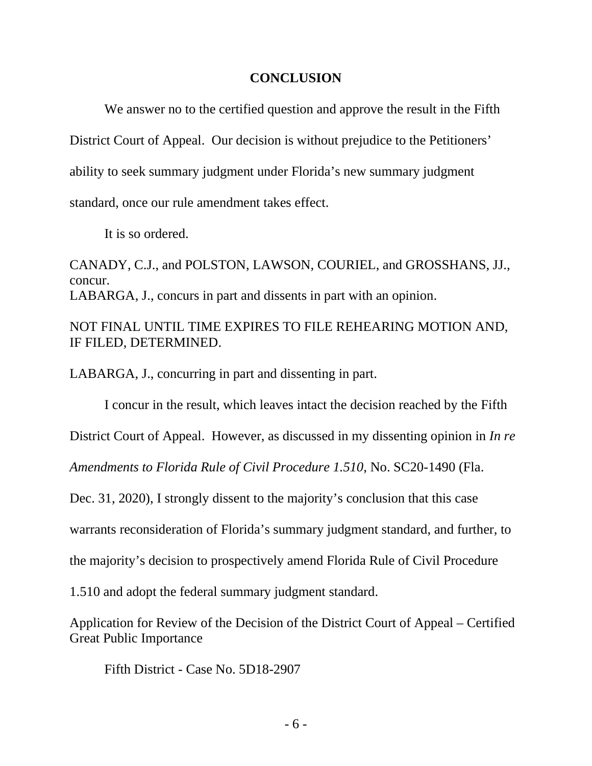## **CONCLUSION**

We answer no to the certified question and approve the result in the Fifth District Court of Appeal. Our decision is without prejudice to the Petitioners' ability to seek summary judgment under Florida's new summary judgment standard, once our rule amendment takes effect.

It is so ordered.

CANADY, C.J., and POLSTON, LAWSON, COURIEL, and GROSSHANS, JJ., concur. LABARGA, J., concurs in part and dissents in part with an opinion.

NOT FINAL UNTIL TIME EXPIRES TO FILE REHEARING MOTION AND, IF FILED, DETERMINED.

LABARGA, J., concurring in part and dissenting in part.

I concur in the result, which leaves intact the decision reached by the Fifth

District Court of Appeal. However, as discussed in my dissenting opinion in *In re* 

*Amendments to Florida Rule of Civil Procedure 1.510*, No. SC20-1490 (Fla.

Dec. 31, 2020), I strongly dissent to the majority's conclusion that this case

warrants reconsideration of Florida's summary judgment standard, and further, to

the majority's decision to prospectively amend Florida Rule of Civil Procedure

1.510 and adopt the federal summary judgment standard.

Application for Review of the Decision of the District Court of Appeal – Certified Great Public Importance

Fifth District - Case No. 5D18-2907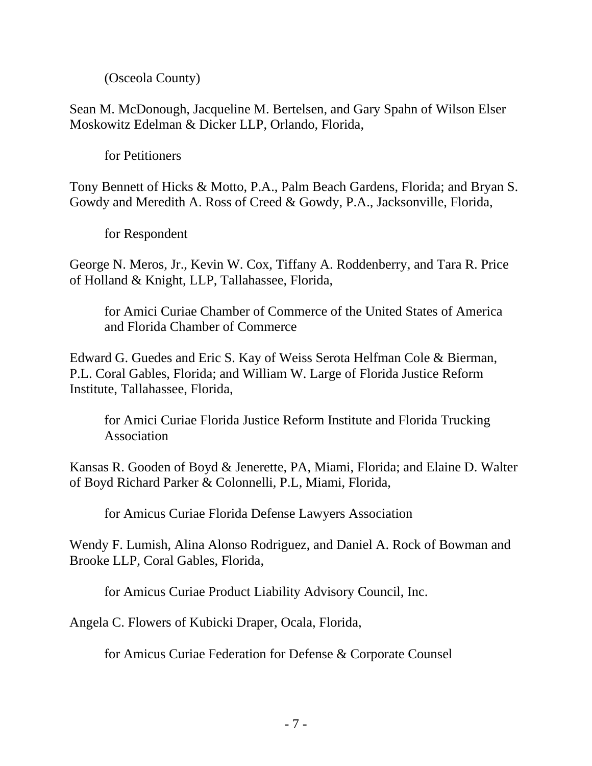(Osceola County)

Sean M. McDonough, Jacqueline M. Bertelsen, and Gary Spahn of Wilson Elser Moskowitz Edelman & Dicker LLP, Orlando, Florida,

for Petitioners

Tony Bennett of Hicks & Motto, P.A., Palm Beach Gardens, Florida; and Bryan S. Gowdy and Meredith A. Ross of Creed & Gowdy, P.A., Jacksonville, Florida,

for Respondent

George N. Meros, Jr., Kevin W. Cox, Tiffany A. Roddenberry, and Tara R. Price of Holland & Knight, LLP, Tallahassee, Florida,

for Amici Curiae Chamber of Commerce of the United States of America and Florida Chamber of Commerce

Edward G. Guedes and Eric S. Kay of Weiss Serota Helfman Cole & Bierman, P.L. Coral Gables, Florida; and William W. Large of Florida Justice Reform Institute, Tallahassee, Florida,

for Amici Curiae Florida Justice Reform Institute and Florida Trucking Association

Kansas R. Gooden of Boyd & Jenerette, PA, Miami, Florida; and Elaine D. Walter of Boyd Richard Parker & Colonnelli, P.L, Miami, Florida,

for Amicus Curiae Florida Defense Lawyers Association

Wendy F. Lumish, Alina Alonso Rodriguez, and Daniel A. Rock of Bowman and Brooke LLP, Coral Gables, Florida,

for Amicus Curiae Product Liability Advisory Council, Inc.

Angela C. Flowers of Kubicki Draper, Ocala, Florida,

for Amicus Curiae Federation for Defense & Corporate Counsel